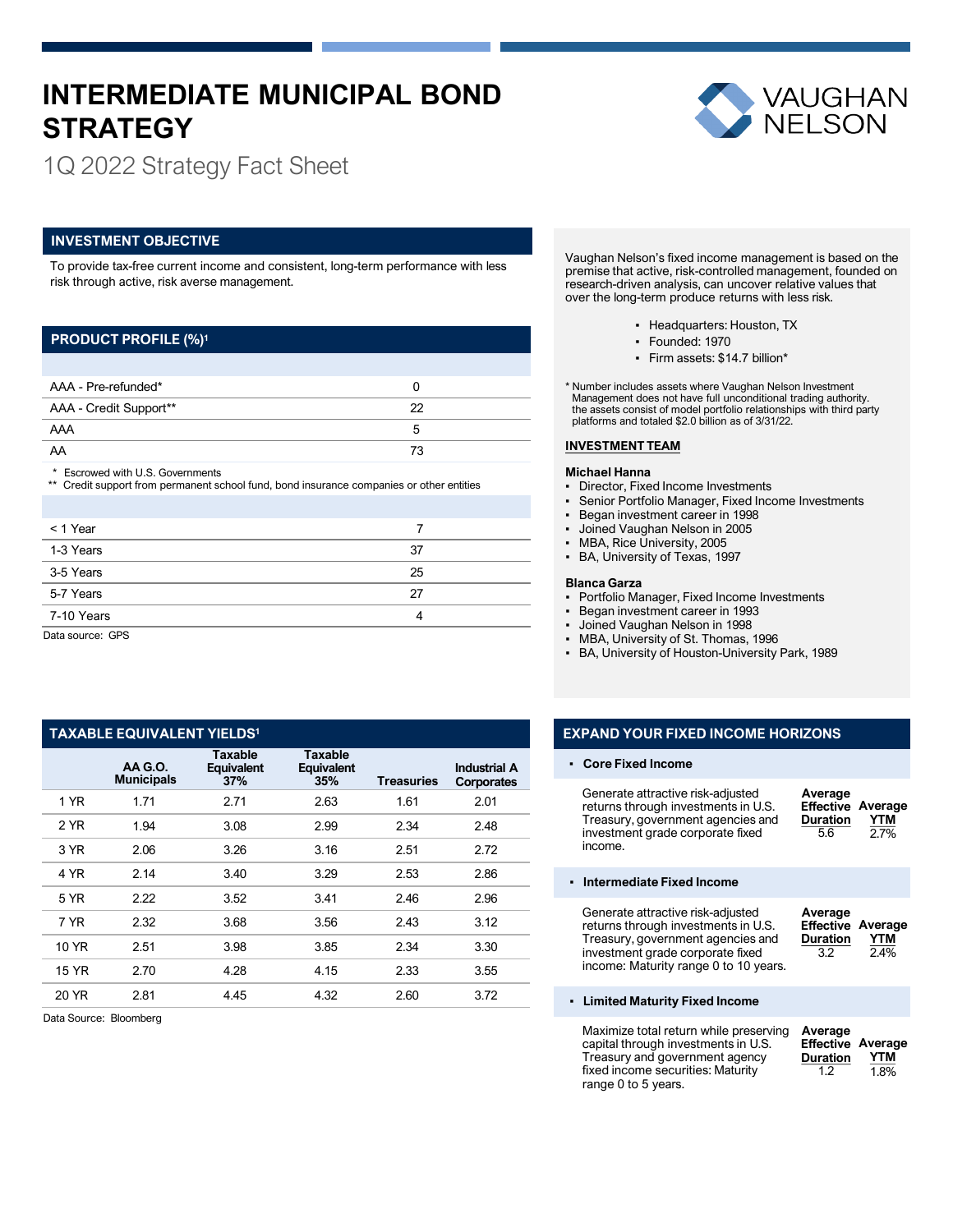# **INTERMEDIATE MUNICIPAL BOND STRATEGY**



1Q 2022 Strategy Fact Sheet

## **INVESTMENT OBJECTIVE**

To provide tax-free current income and consistent, long-term performance with less risk through active, risk averse management.

## **PRODUCT PROFILE (%)1**

| AAA - Pre-refunded*    |    |  |
|------------------------|----|--|
| AAA - Credit Support** | つつ |  |
| AAA                    |    |  |
| AA                     | 73 |  |

\* Escrowed with U.S. Governments

\*\* Credit support from permanent school fund, bond insurance companies or other entities

| < 1 Year         |    |
|------------------|----|
| 1-3 Years        | 37 |
| 3-5 Years        | 25 |
| 5-7 Years        | 27 |
| 7-10 Years       | 4  |
| Data courset CDS |    |

ata source: GPS

## **TAXABLE EQUIVALENT YIELDS1**

|              | AA G.O.<br><b>Municipals</b> | Taxable<br><b>Equivalent</b><br>37% | <b>Taxable</b><br>Equivalent<br>35% | <b>Treasuries</b> | <b>Industrial A</b><br><b>Corporates</b> |
|--------------|------------------------------|-------------------------------------|-------------------------------------|-------------------|------------------------------------------|
| 1 YR         | 1.71                         | 2.71                                | 2.63                                | 1.61              | 2.01                                     |
| 2 YR         | 1.94                         | 3.08                                | 2.99                                | 2.34              | 2.48                                     |
| 3 YR         | 2.06                         | 3.26                                | 3.16                                | 2.51              | 2.72                                     |
| 4 YR         | 2.14                         | 3.40                                | 3.29                                | 2.53              | 2.86                                     |
| 5 YR         | 2.22                         | 3.52                                | 3.41                                | 2.46              | 2.96                                     |
| 7 YR         | 2.32                         | 3.68                                | 3.56                                | 2.43              | 3.12                                     |
| 10 YR        | 2.51                         | 3.98                                | 3.85                                | 2.34              | 3.30                                     |
| <b>15 YR</b> | 2.70                         | 4.28                                | 4.15                                | 2.33              | 3.55                                     |
| 20 YR        | 2.81                         | 4.45                                | 4.32                                | 2.60              | 3.72                                     |

Data Source: Bloomberg

Vaughan Nelson's fixed income management is based on the premise that active, risk-controlled management, founded on research-driven analysis, can uncover relative values that over the long-term produce returns with less risk.

- Headquarters: Houston, TX
- Founded: 1970
- Firm assets: \$14.7 billion\*

\* Number includes assets where Vaughan Nelson Investment Management does not have full unconditional trading authority. the assets consist of model portfolio relationships with third party platforms and totaled \$2.0 billion as of 3/31/22.

### **INVESTMENT TEAM**

## **Michael Hanna**

- Director, Fixed Income Investments
- Senior Portfolio Manager, Fixed Income Investments
- Began investment career in 1998
- Joined Vaughan Nelson in 2005
- MBA, Rice University, 2005
- BA, University of Texas, 1997

### **Blanca Garza**

- Portfolio Manager, Fixed Income Investments
- Began investment career in 1993
- Joined Vaughan Nelson in 1998
- MBA, University of St. Thomas, 1996

fixed income securities: Maturity

range 0 to 5 years.

▪ BA, University of Houston-University Park, 1989

## **EXPAND YOUR FIXED INCOME HORIZONS**

#### ▪ **Core Fixed Income**

| Generate attractive risk-adjusted<br>returns through investments in U.S.<br>Treasury, government agencies and<br>investment grade corporate fixed<br>income.                               | Average<br><b>Effective</b><br><b>Duration</b><br>5.6 | Average<br>YTM<br>2.7%                  |
|--------------------------------------------------------------------------------------------------------------------------------------------------------------------------------------------|-------------------------------------------------------|-----------------------------------------|
| Intermediate Fixed Income                                                                                                                                                                  |                                                       |                                         |
| Generate attractive risk-adjusted<br>returns through investments in U.S.<br>Treasury, government agencies and<br>investment grade corporate fixed<br>income: Maturity range 0 to 10 years. | Average<br><b>Duration</b><br>3.2                     | <b>Effective Average</b><br>YTM<br>2.4% |
| • Limited Maturity Fixed Income                                                                                                                                                            |                                                       |                                         |
| Maximize total return while preserving<br>capital through investments in U.S.<br>Treasury and government agency                                                                            | Average<br><b>Effective</b><br>Duration               | Average<br>YTM                          |

 $1.2$ 

1.8%